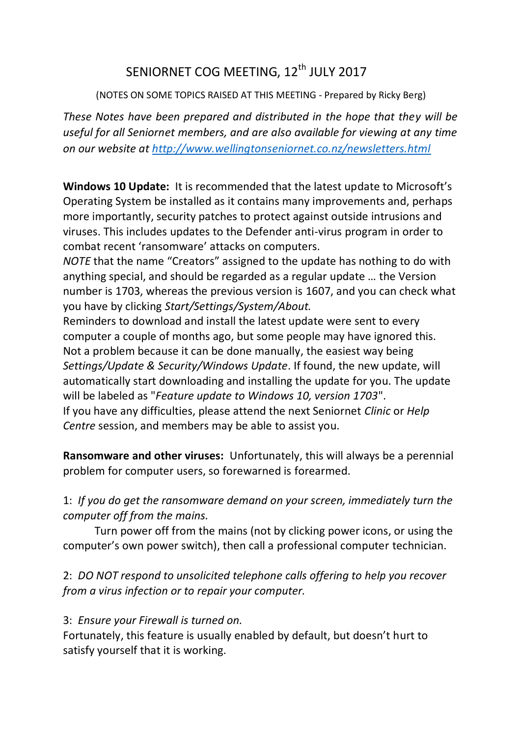# SENIORNET COG MEETING, 12<sup>th</sup> JULY 2017

(NOTES ON SOME TOPICS RAISED AT THIS MEETING - Prepared by Ricky Berg)

*These Notes have been prepared and distributed in the hope that they will be useful for all Seniornet members, and are also available for viewing at any time on our website at<http://www.wellingtonseniornet.co.nz/newsletters.html>*

**Windows 10 Update:** It is recommended that the latest update to Microsoft's Operating System be installed as it contains many improvements and, perhaps more importantly, security patches to protect against outside intrusions and viruses. This includes updates to the Defender anti-virus program in order to combat recent 'ransomware' attacks on computers.

*NOTE* that the name "Creators" assigned to the update has nothing to do with anything special, and should be regarded as a regular update … the Version number is 1703, whereas the previous version is 1607, and you can check what you have by clicking *Start/Settings/System/About.*

Reminders to download and install the latest update were sent to every computer a couple of months ago, but some people may have ignored this. Not a problem because it can be done manually, the easiest way being *Settings/Update & Security/Windows Update*. If found, the new update, will automatically start downloading and installing the update for you. The update will be labeled as "*Feature update to Windows 10, version 1703*". If you have any difficulties, please attend the next Seniornet *Clinic* or *Help Centre* session, and members may be able to assist you.

**Ransomware and other viruses:** Unfortunately, this will always be a perennial problem for computer users, so forewarned is forearmed.

1: *If you do get the ransomware demand on your screen, immediately turn the computer off from the mains.*

Turn power off from the mains (not by clicking power icons, or using the computer's own power switch), then call a professional computer technician.

2: *DO NOT respond to unsolicited telephone calls offering to help you recover from a virus infection or to repair your computer.*

## 3: *Ensure your Firewall is turned on.*

Fortunately, this feature is usually enabled by default, but doesn't hurt to satisfy yourself that it is working.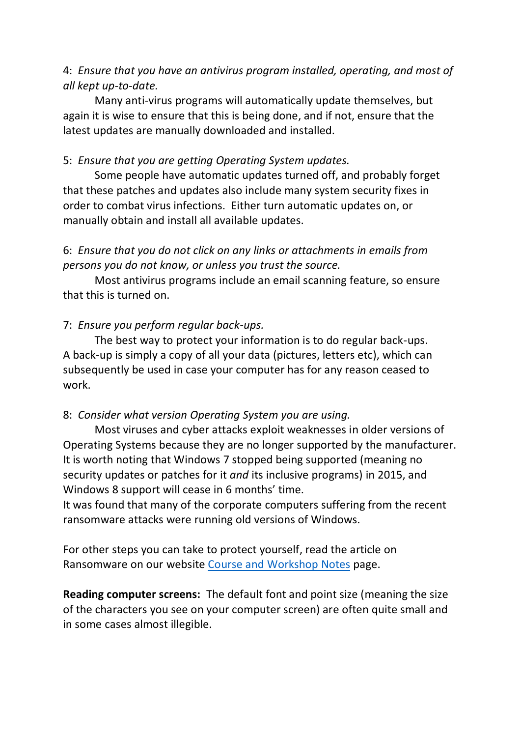## 4: *Ensure that you have an antivirus program installed, operating, and most of all kept up-to-date.*

Many anti-virus programs will automatically update themselves, but again it is wise to ensure that this is being done, and if not, ensure that the latest updates are manually downloaded and installed.

#### 5: *Ensure that you are getting Operating System updates.*

Some people have automatic updates turned off, and probably forget that these patches and updates also include many system security fixes in order to combat virus infections. Either turn automatic updates on, or manually obtain and install all available updates.

# 6: *Ensure that you do not click on any links or attachments in emails from persons you do not know, or unless you trust the source.*

Most antivirus programs include an email scanning feature, so ensure that this is turned on.

## 7: *Ensure you perform regular back-ups.*

The best way to protect your information is to do regular back-ups. A back-up is simply a copy of all your data (pictures, letters etc), which can subsequently be used in case your computer has for any reason ceased to work.

#### 8: *Consider what version Operating System you are using.*

Most viruses and cyber attacks exploit weaknesses in older versions of Operating Systems because they are no longer supported by the manufacturer. It is worth noting that Windows 7 stopped being supported (meaning no security updates or patches for it *and* its inclusive programs) in 2015, and Windows 8 support will cease in 6 months' time.

It was found that many of the corporate computers suffering from the recent ransomware attacks were running old versions of Windows.

For other steps you can take to protect yourself, read the article on Ransomware on our website [Course and Workshop Notes](http://www.wellingtonseniornet.co.nz/course-and-workshop-notes.html) page.

**Reading computer screens:** The default font and point size (meaning the size of the characters you see on your computer screen) are often quite small and in some cases almost illegible.